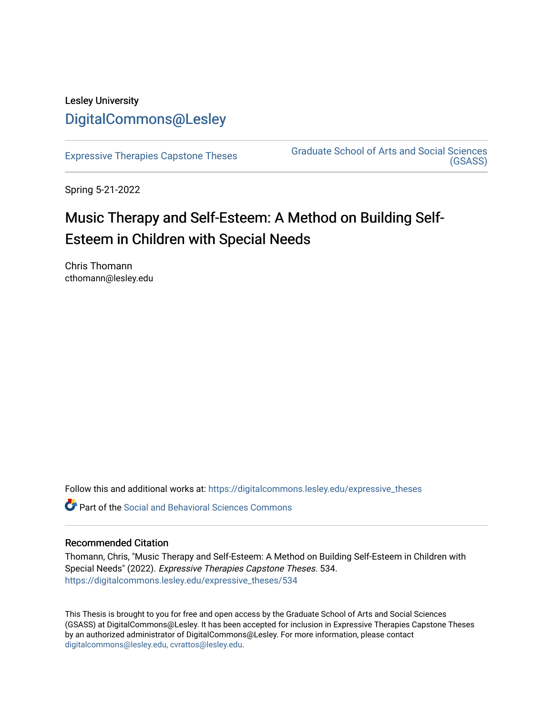## Lesley University [DigitalCommons@Lesley](https://digitalcommons.lesley.edu/)

[Expressive Therapies Capstone Theses](https://digitalcommons.lesley.edu/expressive_theses) Graduate School of Arts and Social Sciences [\(GSASS\)](https://digitalcommons.lesley.edu/gsass) 

Spring 5-21-2022

# Music Therapy and Self-Esteem: A Method on Building Self-Esteem in Children with Special Needs

Chris Thomann cthomann@lesley.edu

Follow this and additional works at: [https://digitalcommons.lesley.edu/expressive\\_theses](https://digitalcommons.lesley.edu/expressive_theses?utm_source=digitalcommons.lesley.edu%2Fexpressive_theses%2F534&utm_medium=PDF&utm_campaign=PDFCoverPages)

Part of the [Social and Behavioral Sciences Commons](http://network.bepress.com/hgg/discipline/316?utm_source=digitalcommons.lesley.edu%2Fexpressive_theses%2F534&utm_medium=PDF&utm_campaign=PDFCoverPages) 

## Recommended Citation

Thomann, Chris, "Music Therapy and Self-Esteem: A Method on Building Self-Esteem in Children with Special Needs" (2022). Expressive Therapies Capstone Theses. 534. [https://digitalcommons.lesley.edu/expressive\\_theses/534](https://digitalcommons.lesley.edu/expressive_theses/534?utm_source=digitalcommons.lesley.edu%2Fexpressive_theses%2F534&utm_medium=PDF&utm_campaign=PDFCoverPages)

This Thesis is brought to you for free and open access by the Graduate School of Arts and Social Sciences (GSASS) at DigitalCommons@Lesley. It has been accepted for inclusion in Expressive Therapies Capstone Theses by an authorized administrator of DigitalCommons@Lesley. For more information, please contact [digitalcommons@lesley.edu, cvrattos@lesley.edu](mailto:digitalcommons@lesley.edu,%20cvrattos@lesley.edu).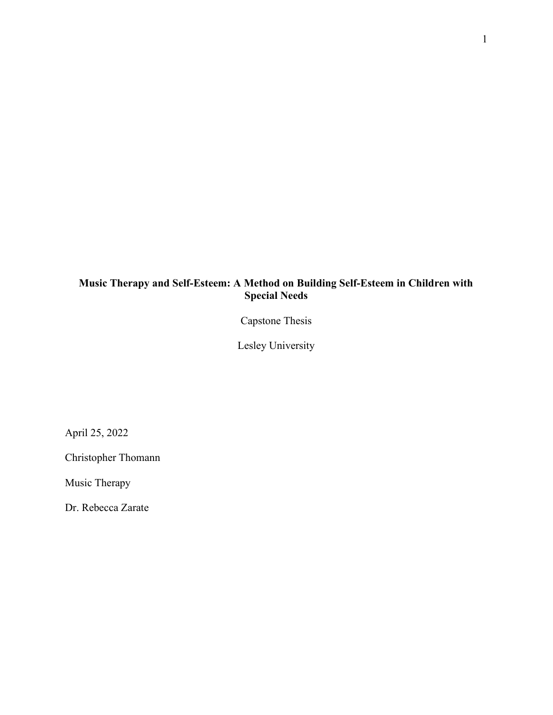## Music Therapy and Self-Esteem: A Method on Building Self-Esteem in Children with Special Needs

Capstone Thesis

Lesley University

April 25, 2022

Christopher Thomann

Music Therapy

Dr. Rebecca Zarate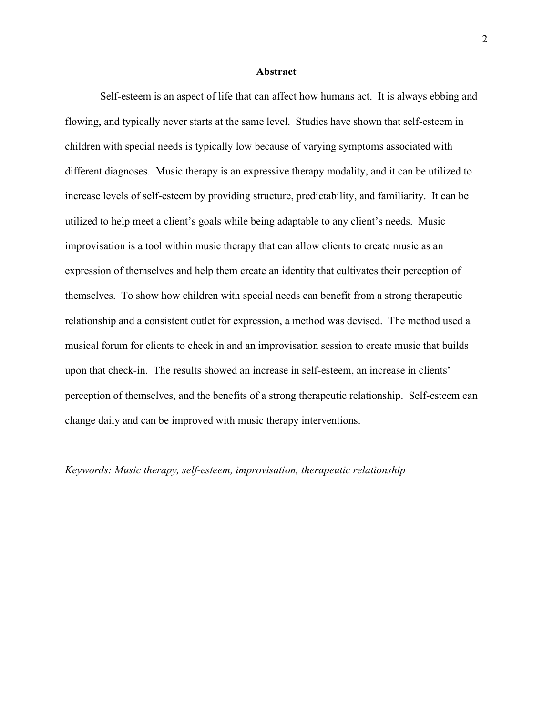### **Abstract**

 Self-esteem is an aspect of life that can affect how humans act. It is always ebbing and flowing, and typically never starts at the same level. Studies have shown that self-esteem in children with special needs is typically low because of varying symptoms associated with different diagnoses. Music therapy is an expressive therapy modality, and it can be utilized to increase levels of self-esteem by providing structure, predictability, and familiarity. It can be utilized to help meet a client's goals while being adaptable to any client's needs. Music improvisation is a tool within music therapy that can allow clients to create music as an expression of themselves and help them create an identity that cultivates their perception of themselves. To show how children with special needs can benefit from a strong therapeutic relationship and a consistent outlet for expression, a method was devised. The method used a musical forum for clients to check in and an improvisation session to create music that builds upon that check-in. The results showed an increase in self-esteem, an increase in clients' perception of themselves, and the benefits of a strong therapeutic relationship. Self-esteem can change daily and can be improved with music therapy interventions.

## Keywords: Music therapy, self-esteem, improvisation, therapeutic relationship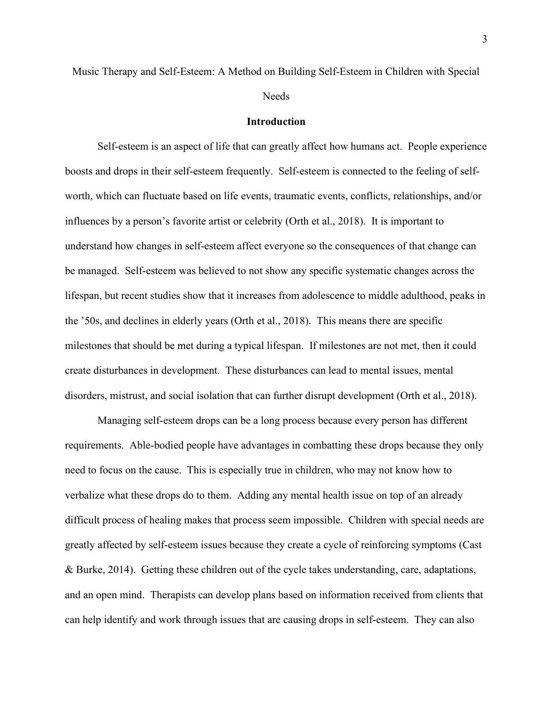**Needs** 

### Introduction

Self-esteem is an aspect of life that can greatly affect how humans act. People experience boosts and drops in their self-esteem frequently. Self-esteem is connected to the feeling of selfworth, which can fluctuate based on life events, traumatic events, conflicts, relationships, and/or influences by a person's favorite artist or celebrity (Orth et al., 2018). It is important to understand how changes in self-esteem affect everyone so the consequences of that change can be managed. Self-esteem was believed to not show any specific systematic changes across the lifespan, but recent studies show that it increases from adolescence to middle adulthood, peaks in the '50s, and declines in elderly years (Orth et al., 2018). This means there are specific milestones that should be met during a typical lifespan. If milestones are not met, then it could create disturbances in development. These disturbances can lead to mental issues, mental disorders, mistrust, and social isolation that can further disrupt development (Orth et al., 2018).

 Managing self-esteem drops can be a long process because every person has different requirements. Able-bodied people have advantages in combatting these drops because they only need to focus on the cause. This is especially true in children, who may not know how to verbalize what these drops do to them. Adding any mental health issue on top of an already difficult process of healing makes that process seem impossible. Children with special needs are greatly affected by self-esteem issues because they create a cycle of reinforcing symptoms (Cast & Burke, 2014). Getting these children out of the cycle takes understanding, care, adaptations, and an open mind. Therapists can develop plans based on information received from clients that can help identify and work through issues that are causing drops in self-esteem. They can also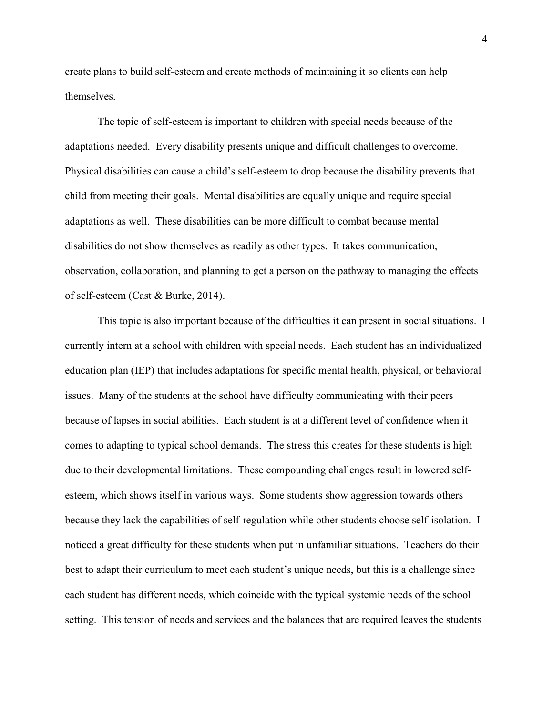create plans to build self-esteem and create methods of maintaining it so clients can help themselves.

 The topic of self-esteem is important to children with special needs because of the adaptations needed. Every disability presents unique and difficult challenges to overcome. Physical disabilities can cause a child's self-esteem to drop because the disability prevents that child from meeting their goals. Mental disabilities are equally unique and require special adaptations as well. These disabilities can be more difficult to combat because mental disabilities do not show themselves as readily as other types. It takes communication, observation, collaboration, and planning to get a person on the pathway to managing the effects of self-esteem (Cast & Burke, 2014).

This topic is also important because of the difficulties it can present in social situations. I currently intern at a school with children with special needs. Each student has an individualized education plan (IEP) that includes adaptations for specific mental health, physical, or behavioral issues. Many of the students at the school have difficulty communicating with their peers because of lapses in social abilities. Each student is at a different level of confidence when it comes to adapting to typical school demands. The stress this creates for these students is high due to their developmental limitations. These compounding challenges result in lowered selfesteem, which shows itself in various ways. Some students show aggression towards others because they lack the capabilities of self-regulation while other students choose self-isolation. I noticed a great difficulty for these students when put in unfamiliar situations. Teachers do their best to adapt their curriculum to meet each student's unique needs, but this is a challenge since each student has different needs, which coincide with the typical systemic needs of the school setting. This tension of needs and services and the balances that are required leaves the students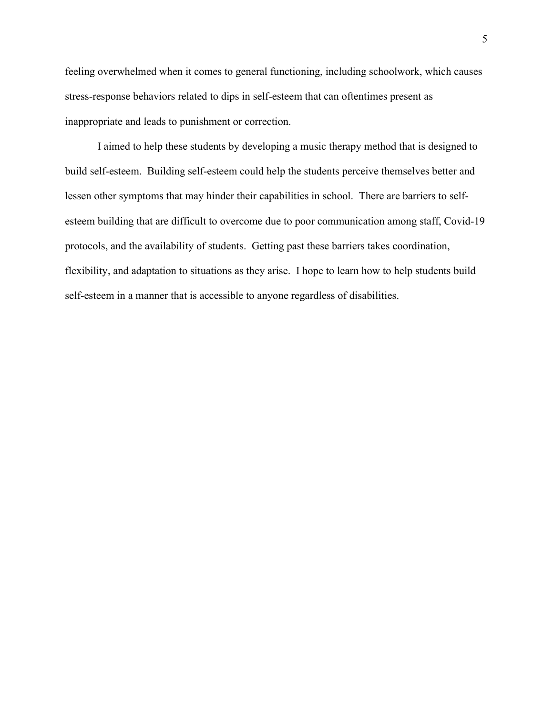feeling overwhelmed when it comes to general functioning, including schoolwork, which causes stress-response behaviors related to dips in self-esteem that can oftentimes present as inappropriate and leads to punishment or correction.

I aimed to help these students by developing a music therapy method that is designed to build self-esteem. Building self-esteem could help the students perceive themselves better and lessen other symptoms that may hinder their capabilities in school. There are barriers to selfesteem building that are difficult to overcome due to poor communication among staff, Covid-19 protocols, and the availability of students. Getting past these barriers takes coordination, flexibility, and adaptation to situations as they arise. I hope to learn how to help students build self-esteem in a manner that is accessible to anyone regardless of disabilities.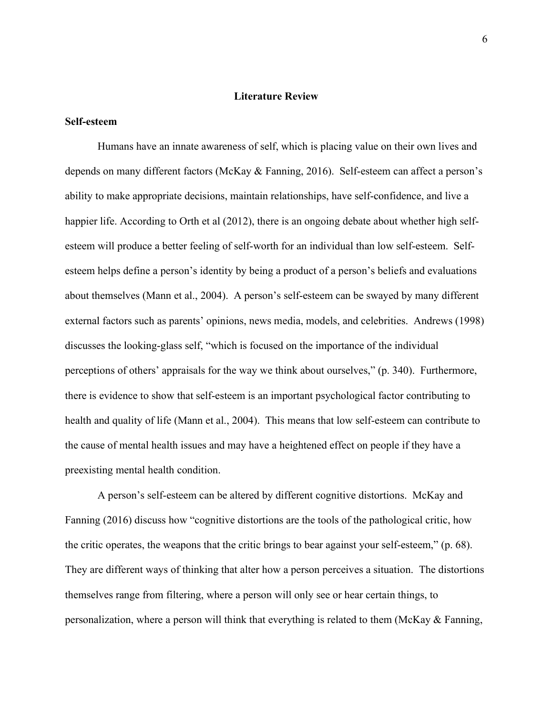## Literature Review

## Self-esteem

Humans have an innate awareness of self, which is placing value on their own lives and depends on many different factors (McKay & Fanning, 2016). Self-esteem can affect a person's ability to make appropriate decisions, maintain relationships, have self-confidence, and live a happier life. According to Orth et al (2012), there is an ongoing debate about whether high selfesteem will produce a better feeling of self-worth for an individual than low self-esteem. Selfesteem helps define a person's identity by being a product of a person's beliefs and evaluations about themselves (Mann et al., 2004). A person's self-esteem can be swayed by many different external factors such as parents' opinions, news media, models, and celebrities. Andrews (1998) discusses the looking-glass self, "which is focused on the importance of the individual perceptions of others' appraisals for the way we think about ourselves," (p. 340). Furthermore, there is evidence to show that self-esteem is an important psychological factor contributing to health and quality of life (Mann et al., 2004). This means that low self-esteem can contribute to the cause of mental health issues and may have a heightened effect on people if they have a preexisting mental health condition.

 A person's self-esteem can be altered by different cognitive distortions. McKay and Fanning (2016) discuss how "cognitive distortions are the tools of the pathological critic, how the critic operates, the weapons that the critic brings to bear against your self-esteem," (p. 68). They are different ways of thinking that alter how a person perceives a situation. The distortions themselves range from filtering, where a person will only see or hear certain things, to personalization, where a person will think that everything is related to them (McKay & Fanning,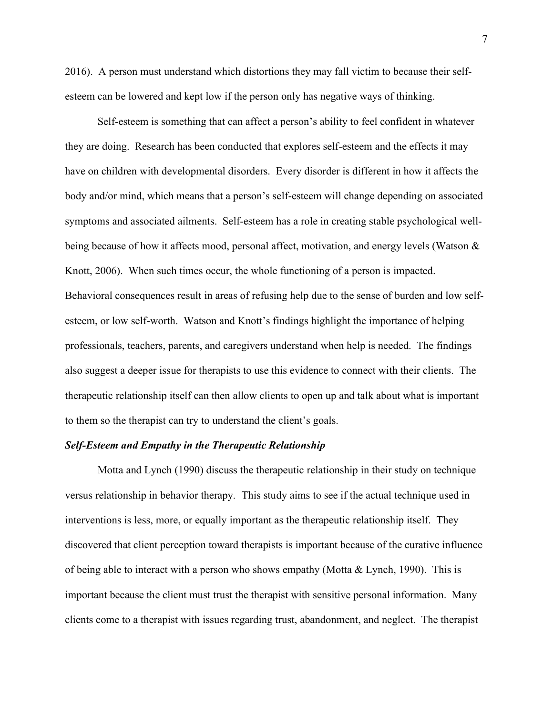2016). A person must understand which distortions they may fall victim to because their selfesteem can be lowered and kept low if the person only has negative ways of thinking.

Self-esteem is something that can affect a person's ability to feel confident in whatever they are doing. Research has been conducted that explores self-esteem and the effects it may have on children with developmental disorders. Every disorder is different in how it affects the body and/or mind, which means that a person's self-esteem will change depending on associated symptoms and associated ailments. Self-esteem has a role in creating stable psychological wellbeing because of how it affects mood, personal affect, motivation, and energy levels (Watson & Knott, 2006). When such times occur, the whole functioning of a person is impacted. Behavioral consequences result in areas of refusing help due to the sense of burden and low selfesteem, or low self-worth. Watson and Knott's findings highlight the importance of helping professionals, teachers, parents, and caregivers understand when help is needed. The findings also suggest a deeper issue for therapists to use this evidence to connect with their clients. The therapeutic relationship itself can then allow clients to open up and talk about what is important to them so the therapist can try to understand the client's goals.

## Self-Esteem and Empathy in the Therapeutic Relationship

Motta and Lynch (1990) discuss the therapeutic relationship in their study on technique versus relationship in behavior therapy. This study aims to see if the actual technique used in interventions is less, more, or equally important as the therapeutic relationship itself. They discovered that client perception toward therapists is important because of the curative influence of being able to interact with a person who shows empathy (Motta & Lynch, 1990). This is important because the client must trust the therapist with sensitive personal information. Many clients come to a therapist with issues regarding trust, abandonment, and neglect. The therapist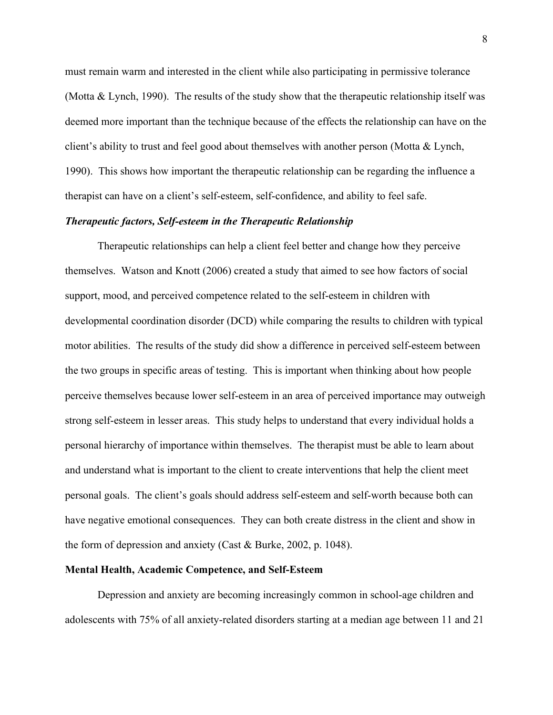must remain warm and interested in the client while also participating in permissive tolerance (Motta & Lynch, 1990). The results of the study show that the therapeutic relationship itself was deemed more important than the technique because of the effects the relationship can have on the client's ability to trust and feel good about themselves with another person (Motta & Lynch, 1990). This shows how important the therapeutic relationship can be regarding the influence a therapist can have on a client's self-esteem, self-confidence, and ability to feel safe.

## Therapeutic factors, Self-esteem in the Therapeutic Relationship

Therapeutic relationships can help a client feel better and change how they perceive themselves. Watson and Knott (2006) created a study that aimed to see how factors of social support, mood, and perceived competence related to the self-esteem in children with developmental coordination disorder (DCD) while comparing the results to children with typical motor abilities. The results of the study did show a difference in perceived self-esteem between the two groups in specific areas of testing. This is important when thinking about how people perceive themselves because lower self-esteem in an area of perceived importance may outweigh strong self-esteem in lesser areas. This study helps to understand that every individual holds a personal hierarchy of importance within themselves. The therapist must be able to learn about and understand what is important to the client to create interventions that help the client meet personal goals. The client's goals should address self-esteem and self-worth because both can have negative emotional consequences. They can both create distress in the client and show in the form of depression and anxiety (Cast & Burke, 2002, p. 1048).

#### Mental Health, Academic Competence, and Self-Esteem

Depression and anxiety are becoming increasingly common in school-age children and adolescents with 75% of all anxiety-related disorders starting at a median age between 11 and 21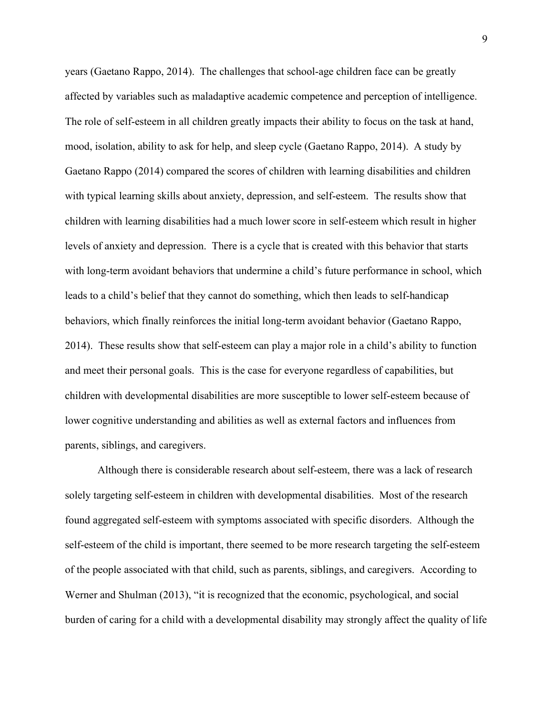years (Gaetano Rappo, 2014). The challenges that school-age children face can be greatly affected by variables such as maladaptive academic competence and perception of intelligence. The role of self-esteem in all children greatly impacts their ability to focus on the task at hand, mood, isolation, ability to ask for help, and sleep cycle (Gaetano Rappo, 2014). A study by Gaetano Rappo (2014) compared the scores of children with learning disabilities and children with typical learning skills about anxiety, depression, and self-esteem. The results show that children with learning disabilities had a much lower score in self-esteem which result in higher levels of anxiety and depression. There is a cycle that is created with this behavior that starts with long-term avoidant behaviors that undermine a child's future performance in school, which leads to a child's belief that they cannot do something, which then leads to self-handicap behaviors, which finally reinforces the initial long-term avoidant behavior (Gaetano Rappo, 2014). These results show that self-esteem can play a major role in a child's ability to function and meet their personal goals. This is the case for everyone regardless of capabilities, but children with developmental disabilities are more susceptible to lower self-esteem because of lower cognitive understanding and abilities as well as external factors and influences from parents, siblings, and caregivers.

Although there is considerable research about self-esteem, there was a lack of research solely targeting self-esteem in children with developmental disabilities. Most of the research found aggregated self-esteem with symptoms associated with specific disorders. Although the self-esteem of the child is important, there seemed to be more research targeting the self-esteem of the people associated with that child, such as parents, siblings, and caregivers. According to Werner and Shulman (2013), "it is recognized that the economic, psychological, and social burden of caring for a child with a developmental disability may strongly affect the quality of life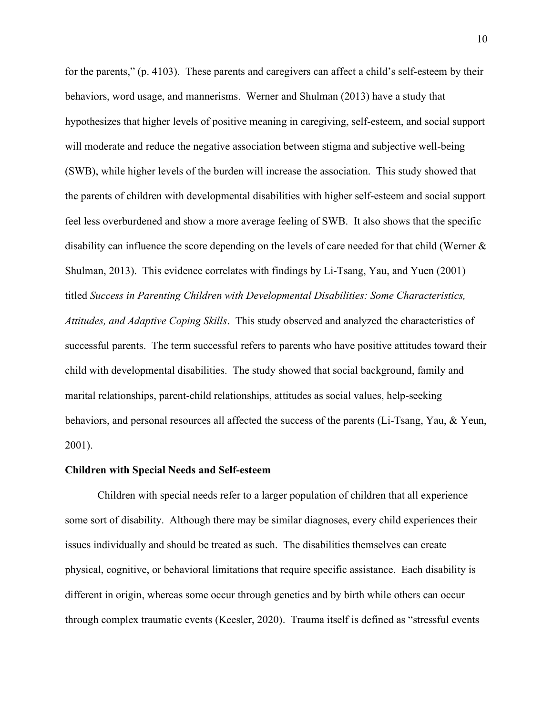for the parents," (p. 4103). These parents and caregivers can affect a child's self-esteem by their behaviors, word usage, and mannerisms. Werner and Shulman (2013) have a study that hypothesizes that higher levels of positive meaning in caregiving, self-esteem, and social support will moderate and reduce the negative association between stigma and subjective well-being (SWB), while higher levels of the burden will increase the association. This study showed that the parents of children with developmental disabilities with higher self-esteem and social support feel less overburdened and show a more average feeling of SWB. It also shows that the specific disability can influence the score depending on the levels of care needed for that child (Werner & Shulman, 2013). This evidence correlates with findings by Li-Tsang, Yau, and Yuen (2001) titled Success in Parenting Children with Developmental Disabilities: Some Characteristics, Attitudes, and Adaptive Coping Skills. This study observed and analyzed the characteristics of successful parents. The term successful refers to parents who have positive attitudes toward their child with developmental disabilities. The study showed that social background, family and marital relationships, parent-child relationships, attitudes as social values, help-seeking behaviors, and personal resources all affected the success of the parents (Li-Tsang, Yau, & Yeun, 2001).

## Children with Special Needs and Self-esteem

Children with special needs refer to a larger population of children that all experience some sort of disability. Although there may be similar diagnoses, every child experiences their issues individually and should be treated as such. The disabilities themselves can create physical, cognitive, or behavioral limitations that require specific assistance. Each disability is different in origin, whereas some occur through genetics and by birth while others can occur through complex traumatic events (Keesler, 2020). Trauma itself is defined as "stressful events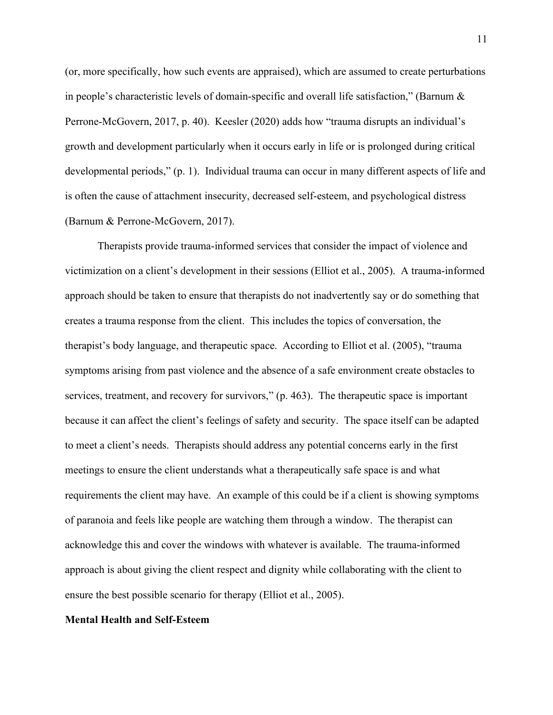(or, more specifically, how such events are appraised), which are assumed to create perturbations in people's characteristic levels of domain-specific and overall life satisfaction," (Barnum & Perrone-McGovern, 2017, p. 40). Keesler (2020) adds how "trauma disrupts an individual's growth and development particularly when it occurs early in life or is prolonged during critical developmental periods," (p. 1). Individual trauma can occur in many different aspects of life and is often the cause of attachment insecurity, decreased self-esteem, and psychological distress (Barnum & Perrone-McGovern, 2017).

Therapists provide trauma-informed services that consider the impact of violence and victimization on a client's development in their sessions (Elliot et al., 2005). A trauma-informed approach should be taken to ensure that therapists do not inadvertently say or do something that creates a trauma response from the client. This includes the topics of conversation, the therapist's body language, and therapeutic space. According to Elliot et al. (2005), "trauma symptoms arising from past violence and the absence of a safe environment create obstacles to services, treatment, and recovery for survivors," (p. 463). The therapeutic space is important because it can affect the client's feelings of safety and security. The space itself can be adapted to meet a client's needs. Therapists should address any potential concerns early in the first meetings to ensure the client understands what a therapeutically safe space is and what requirements the client may have. An example of this could be if a client is showing symptoms of paranoia and feels like people are watching them through a window. The therapist can acknowledge this and cover the windows with whatever is available. The trauma-informed approach is about giving the client respect and dignity while collaborating with the client to ensure the best possible scenario for therapy (Elliot et al., 2005).

#### Mental Health and Self-Esteem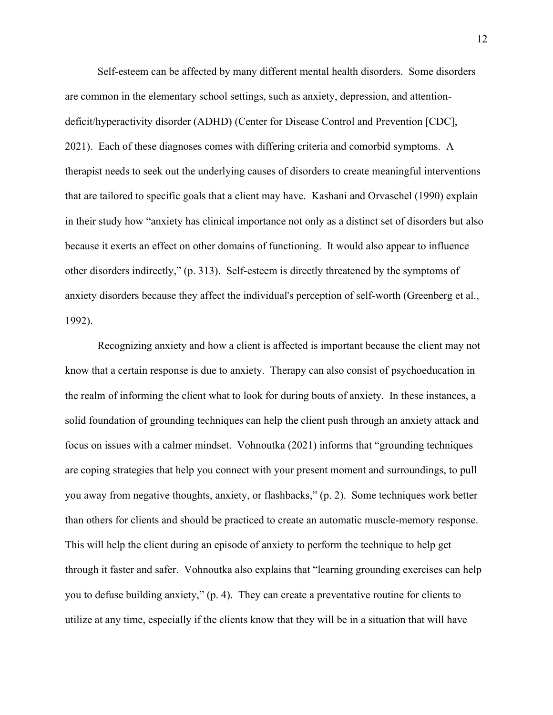Self-esteem can be affected by many different mental health disorders. Some disorders are common in the elementary school settings, such as anxiety, depression, and attentiondeficit/hyperactivity disorder (ADHD) (Center for Disease Control and Prevention [CDC], 2021). Each of these diagnoses comes with differing criteria and comorbid symptoms. A therapist needs to seek out the underlying causes of disorders to create meaningful interventions that are tailored to specific goals that a client may have. Kashani and Orvaschel (1990) explain in their study how "anxiety has clinical importance not only as a distinct set of disorders but also because it exerts an effect on other domains of functioning. It would also appear to influence other disorders indirectly," (p. 313). Self-esteem is directly threatened by the symptoms of anxiety disorders because they affect the individual's perception of self-worth (Greenberg et al., 1992).

 Recognizing anxiety and how a client is affected is important because the client may not know that a certain response is due to anxiety. Therapy can also consist of psychoeducation in the realm of informing the client what to look for during bouts of anxiety. In these instances, a solid foundation of grounding techniques can help the client push through an anxiety attack and focus on issues with a calmer mindset. Vohnoutka (2021) informs that "grounding techniques are coping strategies that help you connect with your present moment and surroundings, to pull you away from negative thoughts, anxiety, or flashbacks," (p. 2). Some techniques work better than others for clients and should be practiced to create an automatic muscle-memory response. This will help the client during an episode of anxiety to perform the technique to help get through it faster and safer. Vohnoutka also explains that "learning grounding exercises can help you to defuse building anxiety," (p. 4). They can create a preventative routine for clients to utilize at any time, especially if the clients know that they will be in a situation that will have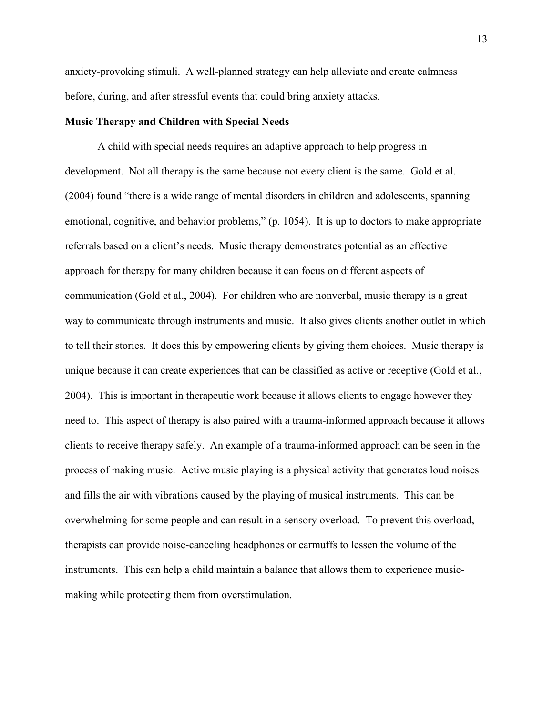anxiety-provoking stimuli. A well-planned strategy can help alleviate and create calmness before, during, and after stressful events that could bring anxiety attacks.

## Music Therapy and Children with Special Needs

A child with special needs requires an adaptive approach to help progress in development. Not all therapy is the same because not every client is the same. Gold et al. (2004) found "there is a wide range of mental disorders in children and adolescents, spanning emotional, cognitive, and behavior problems," (p. 1054). It is up to doctors to make appropriate referrals based on a client's needs. Music therapy demonstrates potential as an effective approach for therapy for many children because it can focus on different aspects of communication (Gold et al., 2004). For children who are nonverbal, music therapy is a great way to communicate through instruments and music. It also gives clients another outlet in which to tell their stories. It does this by empowering clients by giving them choices. Music therapy is unique because it can create experiences that can be classified as active or receptive (Gold et al., 2004). This is important in therapeutic work because it allows clients to engage however they need to. This aspect of therapy is also paired with a trauma-informed approach because it allows clients to receive therapy safely. An example of a trauma-informed approach can be seen in the process of making music. Active music playing is a physical activity that generates loud noises and fills the air with vibrations caused by the playing of musical instruments. This can be overwhelming for some people and can result in a sensory overload. To prevent this overload, therapists can provide noise-canceling headphones or earmuffs to lessen the volume of the instruments. This can help a child maintain a balance that allows them to experience musicmaking while protecting them from overstimulation.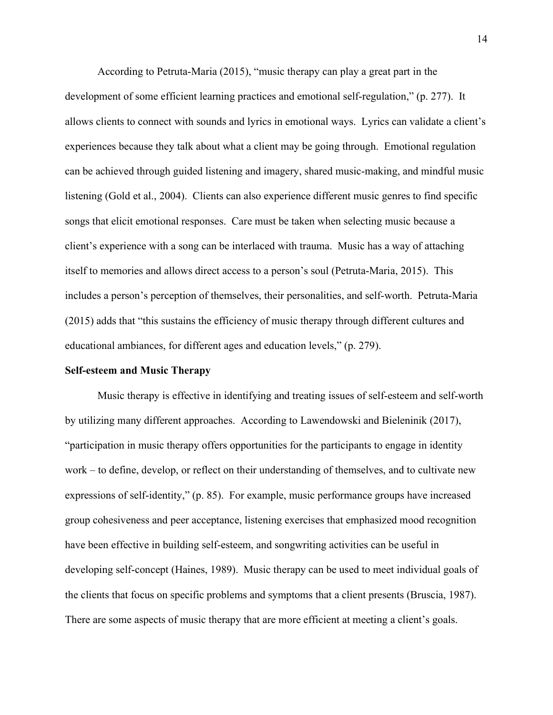According to Petruta-Maria (2015), "music therapy can play a great part in the development of some efficient learning practices and emotional self-regulation," (p. 277). It allows clients to connect with sounds and lyrics in emotional ways. Lyrics can validate a client's experiences because they talk about what a client may be going through. Emotional regulation can be achieved through guided listening and imagery, shared music-making, and mindful music listening (Gold et al., 2004). Clients can also experience different music genres to find specific songs that elicit emotional responses. Care must be taken when selecting music because a client's experience with a song can be interlaced with trauma. Music has a way of attaching itself to memories and allows direct access to a person's soul (Petruta-Maria, 2015). This includes a person's perception of themselves, their personalities, and self-worth. Petruta-Maria (2015) adds that "this sustains the efficiency of music therapy through different cultures and educational ambiances, for different ages and education levels," (p. 279).

## Self-esteem and Music Therapy

Music therapy is effective in identifying and treating issues of self-esteem and self-worth by utilizing many different approaches. According to Lawendowski and Bieleninik (2017), "participation in music therapy offers opportunities for the participants to engage in identity work – to define, develop, or reflect on their understanding of themselves, and to cultivate new expressions of self-identity," (p. 85). For example, music performance groups have increased group cohesiveness and peer acceptance, listening exercises that emphasized mood recognition have been effective in building self-esteem, and songwriting activities can be useful in developing self-concept (Haines, 1989). Music therapy can be used to meet individual goals of the clients that focus on specific problems and symptoms that a client presents (Bruscia, 1987). There are some aspects of music therapy that are more efficient at meeting a client's goals.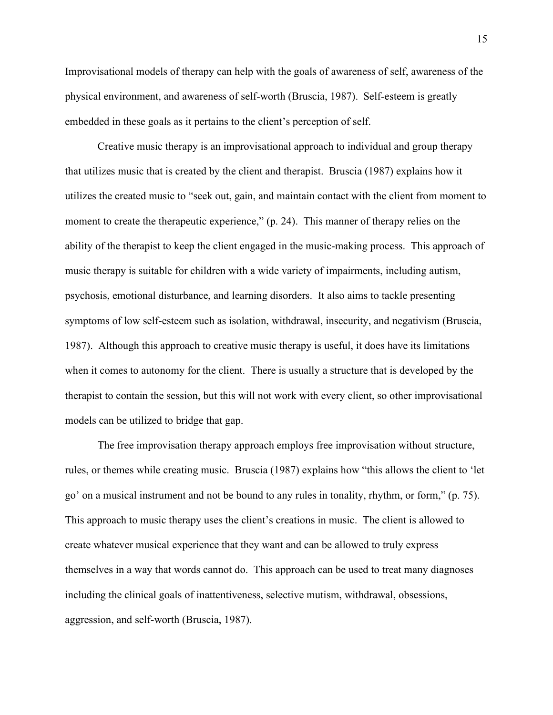Improvisational models of therapy can help with the goals of awareness of self, awareness of the physical environment, and awareness of self-worth (Bruscia, 1987). Self-esteem is greatly embedded in these goals as it pertains to the client's perception of self.

 Creative music therapy is an improvisational approach to individual and group therapy that utilizes music that is created by the client and therapist. Bruscia (1987) explains how it utilizes the created music to "seek out, gain, and maintain contact with the client from moment to moment to create the therapeutic experience," (p. 24). This manner of therapy relies on the ability of the therapist to keep the client engaged in the music-making process. This approach of music therapy is suitable for children with a wide variety of impairments, including autism, psychosis, emotional disturbance, and learning disorders. It also aims to tackle presenting symptoms of low self-esteem such as isolation, withdrawal, insecurity, and negativism (Bruscia, 1987). Although this approach to creative music therapy is useful, it does have its limitations when it comes to autonomy for the client. There is usually a structure that is developed by the therapist to contain the session, but this will not work with every client, so other improvisational models can be utilized to bridge that gap.

 The free improvisation therapy approach employs free improvisation without structure, rules, or themes while creating music. Bruscia (1987) explains how "this allows the client to 'let go' on a musical instrument and not be bound to any rules in tonality, rhythm, or form," (p. 75). This approach to music therapy uses the client's creations in music. The client is allowed to create whatever musical experience that they want and can be allowed to truly express themselves in a way that words cannot do. This approach can be used to treat many diagnoses including the clinical goals of inattentiveness, selective mutism, withdrawal, obsessions, aggression, and self-worth (Bruscia, 1987).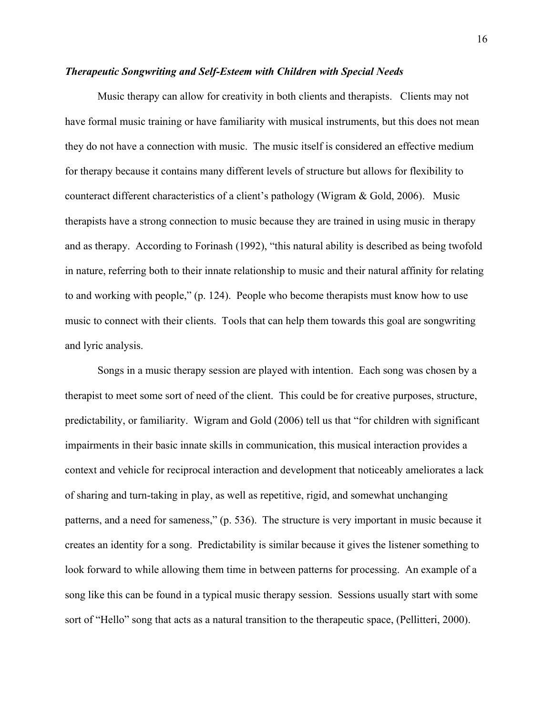## Therapeutic Songwriting and Self-Esteem with Children with Special Needs

Music therapy can allow for creativity in both clients and therapists. Clients may not have formal music training or have familiarity with musical instruments, but this does not mean they do not have a connection with music. The music itself is considered an effective medium for therapy because it contains many different levels of structure but allows for flexibility to counteract different characteristics of a client's pathology (Wigram & Gold, 2006). Music therapists have a strong connection to music because they are trained in using music in therapy and as therapy. According to Forinash (1992), "this natural ability is described as being twofold in nature, referring both to their innate relationship to music and their natural affinity for relating to and working with people," (p. 124). People who become therapists must know how to use music to connect with their clients. Tools that can help them towards this goal are songwriting and lyric analysis.

 Songs in a music therapy session are played with intention. Each song was chosen by a therapist to meet some sort of need of the client. This could be for creative purposes, structure, predictability, or familiarity. Wigram and Gold (2006) tell us that "for children with significant impairments in their basic innate skills in communication, this musical interaction provides a context and vehicle for reciprocal interaction and development that noticeably ameliorates a lack of sharing and turn-taking in play, as well as repetitive, rigid, and somewhat unchanging patterns, and a need for sameness," (p. 536). The structure is very important in music because it creates an identity for a song. Predictability is similar because it gives the listener something to look forward to while allowing them time in between patterns for processing. An example of a song like this can be found in a typical music therapy session. Sessions usually start with some sort of "Hello" song that acts as a natural transition to the therapeutic space, (Pellitteri, 2000).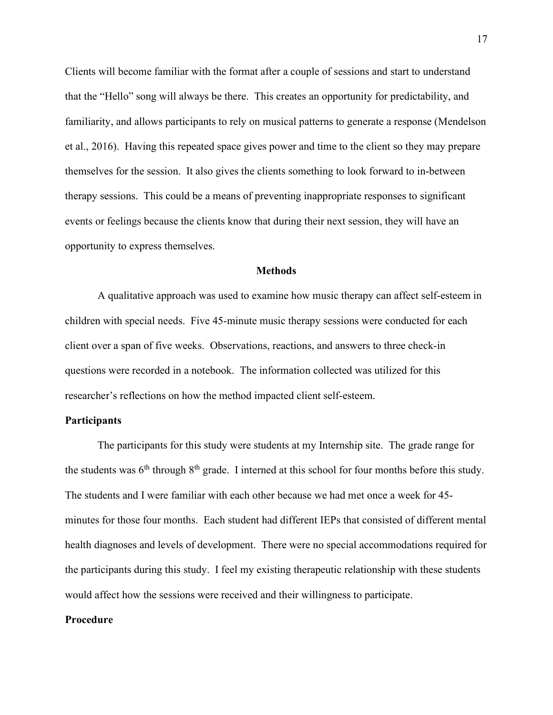Clients will become familiar with the format after a couple of sessions and start to understand that the "Hello" song will always be there. This creates an opportunity for predictability, and familiarity, and allows participants to rely on musical patterns to generate a response (Mendelson et al., 2016). Having this repeated space gives power and time to the client so they may prepare themselves for the session. It also gives the clients something to look forward to in-between therapy sessions. This could be a means of preventing inappropriate responses to significant events or feelings because the clients know that during their next session, they will have an opportunity to express themselves.

## **Methods**

A qualitative approach was used to examine how music therapy can affect self-esteem in children with special needs. Five 45-minute music therapy sessions were conducted for each client over a span of five weeks. Observations, reactions, and answers to three check-in questions were recorded in a notebook. The information collected was utilized for this researcher's reflections on how the method impacted client self-esteem.

## **Participants**

The participants for this study were students at my Internship site. The grade range for the students was  $6<sup>th</sup>$  through  $8<sup>th</sup>$  grade. I interned at this school for four months before this study. The students and I were familiar with each other because we had met once a week for 45 minutes for those four months. Each student had different IEPs that consisted of different mental health diagnoses and levels of development. There were no special accommodations required for the participants during this study. I feel my existing therapeutic relationship with these students would affect how the sessions were received and their willingness to participate.

#### Procedure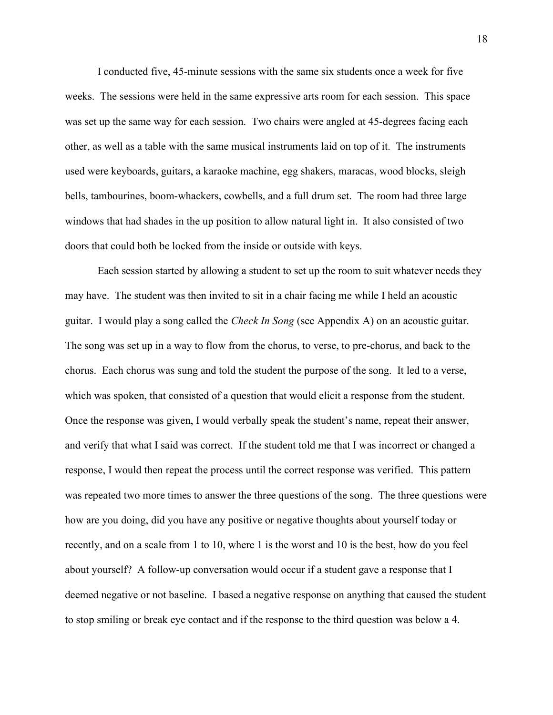I conducted five, 45-minute sessions with the same six students once a week for five weeks. The sessions were held in the same expressive arts room for each session. This space was set up the same way for each session. Two chairs were angled at 45-degrees facing each other, as well as a table with the same musical instruments laid on top of it. The instruments used were keyboards, guitars, a karaoke machine, egg shakers, maracas, wood blocks, sleigh bells, tambourines, boom-whackers, cowbells, and a full drum set. The room had three large windows that had shades in the up position to allow natural light in. It also consisted of two doors that could both be locked from the inside or outside with keys.

Each session started by allowing a student to set up the room to suit whatever needs they may have. The student was then invited to sit in a chair facing me while I held an acoustic guitar. I would play a song called the *Check In Song* (see Appendix A) on an acoustic guitar. The song was set up in a way to flow from the chorus, to verse, to pre-chorus, and back to the chorus. Each chorus was sung and told the student the purpose of the song. It led to a verse, which was spoken, that consisted of a question that would elicit a response from the student. Once the response was given, I would verbally speak the student's name, repeat their answer, and verify that what I said was correct. If the student told me that I was incorrect or changed a response, I would then repeat the process until the correct response was verified. This pattern was repeated two more times to answer the three questions of the song. The three questions were how are you doing, did you have any positive or negative thoughts about yourself today or recently, and on a scale from 1 to 10, where 1 is the worst and 10 is the best, how do you feel about yourself? A follow-up conversation would occur if a student gave a response that I deemed negative or not baseline. I based a negative response on anything that caused the student to stop smiling or break eye contact and if the response to the third question was below a 4.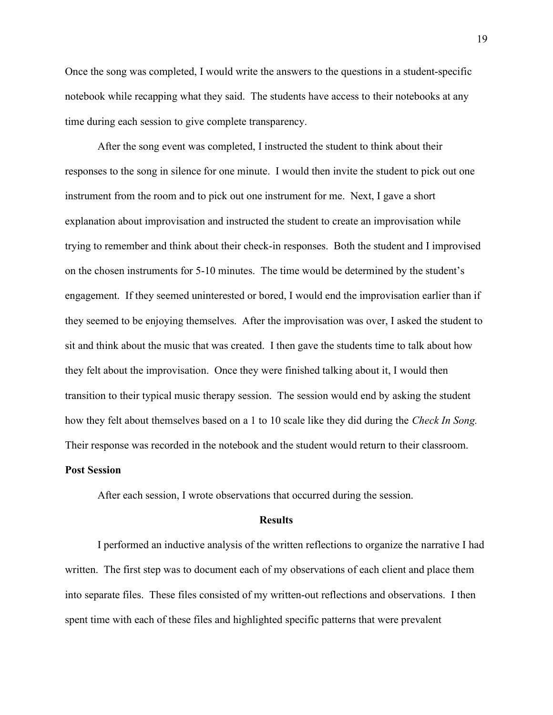Once the song was completed, I would write the answers to the questions in a student-specific notebook while recapping what they said. The students have access to their notebooks at any time during each session to give complete transparency.

After the song event was completed, I instructed the student to think about their responses to the song in silence for one minute. I would then invite the student to pick out one instrument from the room and to pick out one instrument for me. Next, I gave a short explanation about improvisation and instructed the student to create an improvisation while trying to remember and think about their check-in responses. Both the student and I improvised on the chosen instruments for 5-10 minutes. The time would be determined by the student's engagement. If they seemed uninterested or bored, I would end the improvisation earlier than if they seemed to be enjoying themselves. After the improvisation was over, I asked the student to sit and think about the music that was created. I then gave the students time to talk about how they felt about the improvisation. Once they were finished talking about it, I would then transition to their typical music therapy session. The session would end by asking the student how they felt about themselves based on a 1 to 10 scale like they did during the *Check In Song*. Their response was recorded in the notebook and the student would return to their classroom.

## Post Session

After each session, I wrote observations that occurred during the session.

#### **Results**

 I performed an inductive analysis of the written reflections to organize the narrative I had written. The first step was to document each of my observations of each client and place them into separate files. These files consisted of my written-out reflections and observations. I then spent time with each of these files and highlighted specific patterns that were prevalent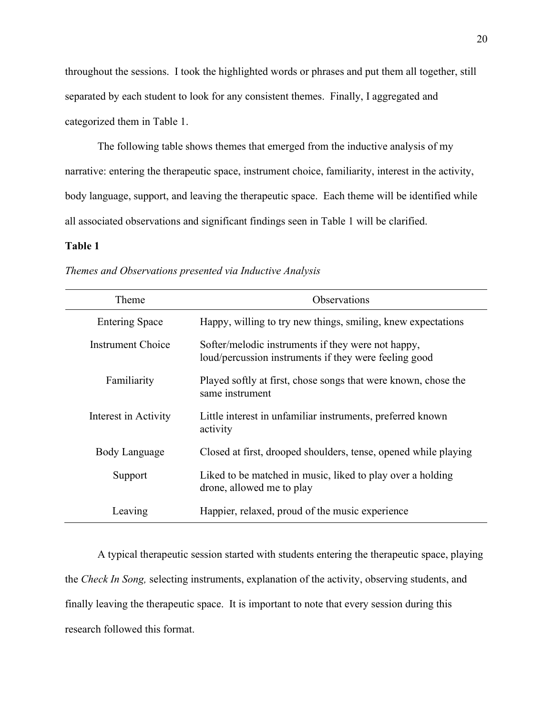throughout the sessions. I took the highlighted words or phrases and put them all together, still separated by each student to look for any consistent themes. Finally, I aggregated and categorized them in Table 1.

The following table shows themes that emerged from the inductive analysis of my narrative: entering the therapeutic space, instrument choice, familiarity, interest in the activity, body language, support, and leaving the therapeutic space. Each theme will be identified while all associated observations and significant findings seen in Table 1 will be clarified.

## Table 1

| Themes and Observations presented via Inductive Analysis |  |  |
|----------------------------------------------------------|--|--|
|                                                          |  |  |

| Theme                 | <b>Observations</b>                                                                                         |
|-----------------------|-------------------------------------------------------------------------------------------------------------|
| <b>Entering Space</b> | Happy, willing to try new things, smiling, knew expectations                                                |
| Instrument Choice     | Softer/melodic instruments if they were not happy,<br>loud/percussion instruments if they were feeling good |
| Familiarity           | Played softly at first, chose songs that were known, chose the<br>same instrument                           |
| Interest in Activity  | Little interest in unfamiliar instruments, preferred known<br>activity                                      |
| Body Language         | Closed at first, drooped shoulders, tense, opened while playing                                             |
| Support               | Liked to be matched in music, liked to play over a holding<br>drone, allowed me to play                     |
| Leaving               | Happier, relaxed, proud of the music experience                                                             |

 A typical therapeutic session started with students entering the therapeutic space, playing the Check In Song, selecting instruments, explanation of the activity, observing students, and finally leaving the therapeutic space. It is important to note that every session during this research followed this format.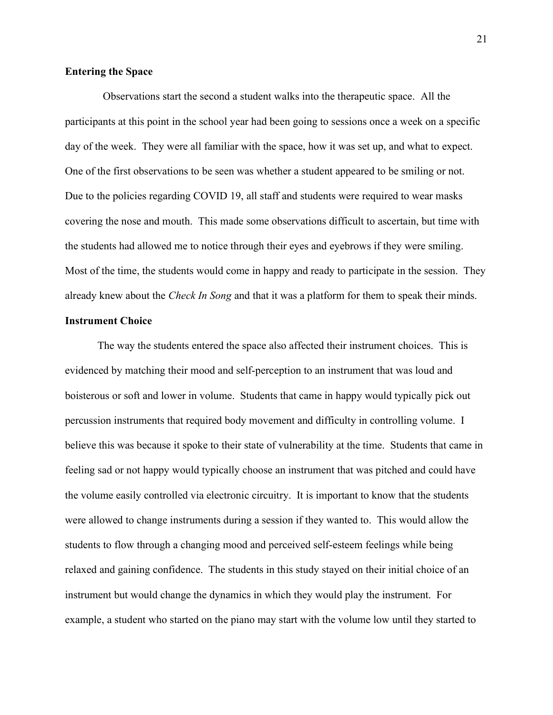## Entering the Space

 Observations start the second a student walks into the therapeutic space. All the participants at this point in the school year had been going to sessions once a week on a specific day of the week. They were all familiar with the space, how it was set up, and what to expect. One of the first observations to be seen was whether a student appeared to be smiling or not. Due to the policies regarding COVID 19, all staff and students were required to wear masks covering the nose and mouth. This made some observations difficult to ascertain, but time with the students had allowed me to notice through their eyes and eyebrows if they were smiling. Most of the time, the students would come in happy and ready to participate in the session. They already knew about the *Check In Song* and that it was a platform for them to speak their minds.

## Instrument Choice

The way the students entered the space also affected their instrument choices. This is evidenced by matching their mood and self-perception to an instrument that was loud and boisterous or soft and lower in volume. Students that came in happy would typically pick out percussion instruments that required body movement and difficulty in controlling volume. I believe this was because it spoke to their state of vulnerability at the time. Students that came in feeling sad or not happy would typically choose an instrument that was pitched and could have the volume easily controlled via electronic circuitry. It is important to know that the students were allowed to change instruments during a session if they wanted to. This would allow the students to flow through a changing mood and perceived self-esteem feelings while being relaxed and gaining confidence. The students in this study stayed on their initial choice of an instrument but would change the dynamics in which they would play the instrument. For example, a student who started on the piano may start with the volume low until they started to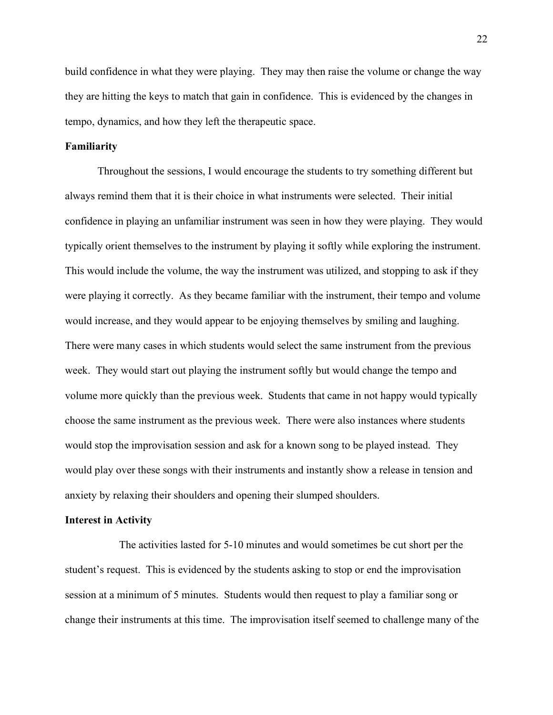build confidence in what they were playing. They may then raise the volume or change the way they are hitting the keys to match that gain in confidence. This is evidenced by the changes in tempo, dynamics, and how they left the therapeutic space.

## Familiarity

Throughout the sessions, I would encourage the students to try something different but always remind them that it is their choice in what instruments were selected. Their initial confidence in playing an unfamiliar instrument was seen in how they were playing. They would typically orient themselves to the instrument by playing it softly while exploring the instrument. This would include the volume, the way the instrument was utilized, and stopping to ask if they were playing it correctly. As they became familiar with the instrument, their tempo and volume would increase, and they would appear to be enjoying themselves by smiling and laughing. There were many cases in which students would select the same instrument from the previous week. They would start out playing the instrument softly but would change the tempo and volume more quickly than the previous week. Students that came in not happy would typically choose the same instrument as the previous week. There were also instances where students would stop the improvisation session and ask for a known song to be played instead. They would play over these songs with their instruments and instantly show a release in tension and anxiety by relaxing their shoulders and opening their slumped shoulders.

#### Interest in Activity

 The activities lasted for 5-10 minutes and would sometimes be cut short per the student's request. This is evidenced by the students asking to stop or end the improvisation session at a minimum of 5 minutes. Students would then request to play a familiar song or change their instruments at this time. The improvisation itself seemed to challenge many of the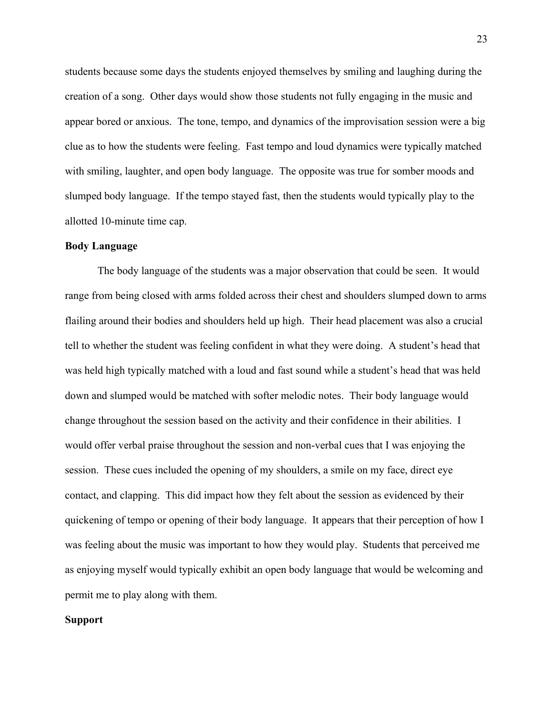students because some days the students enjoyed themselves by smiling and laughing during the creation of a song. Other days would show those students not fully engaging in the music and appear bored or anxious. The tone, tempo, and dynamics of the improvisation session were a big clue as to how the students were feeling. Fast tempo and loud dynamics were typically matched with smiling, laughter, and open body language. The opposite was true for somber moods and slumped body language. If the tempo stayed fast, then the students would typically play to the allotted 10-minute time cap.

## Body Language

The body language of the students was a major observation that could be seen. It would range from being closed with arms folded across their chest and shoulders slumped down to arms flailing around their bodies and shoulders held up high. Their head placement was also a crucial tell to whether the student was feeling confident in what they were doing. A student's head that was held high typically matched with a loud and fast sound while a student's head that was held down and slumped would be matched with softer melodic notes. Their body language would change throughout the session based on the activity and their confidence in their abilities. I would offer verbal praise throughout the session and non-verbal cues that I was enjoying the session. These cues included the opening of my shoulders, a smile on my face, direct eye contact, and clapping. This did impact how they felt about the session as evidenced by their quickening of tempo or opening of their body language. It appears that their perception of how I was feeling about the music was important to how they would play. Students that perceived me as enjoying myself would typically exhibit an open body language that would be welcoming and permit me to play along with them.

## Support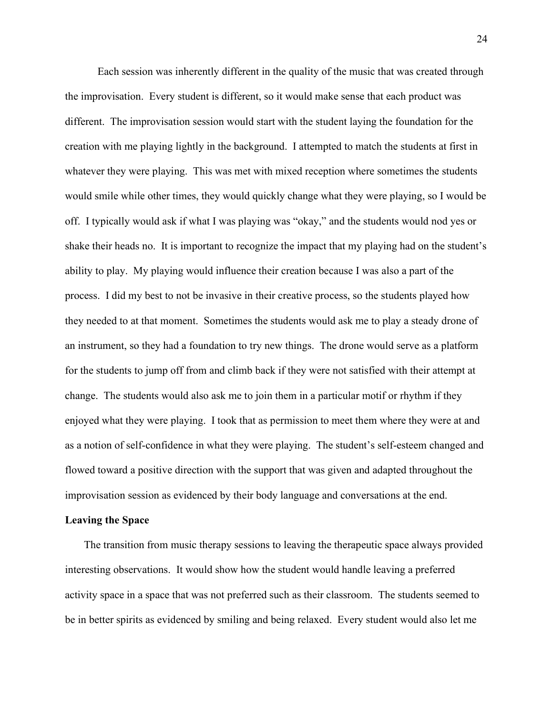Each session was inherently different in the quality of the music that was created through the improvisation. Every student is different, so it would make sense that each product was different. The improvisation session would start with the student laying the foundation for the creation with me playing lightly in the background. I attempted to match the students at first in whatever they were playing. This was met with mixed reception where sometimes the students would smile while other times, they would quickly change what they were playing, so I would be off. I typically would ask if what I was playing was "okay," and the students would nod yes or shake their heads no. It is important to recognize the impact that my playing had on the student's ability to play. My playing would influence their creation because I was also a part of the process. I did my best to not be invasive in their creative process, so the students played how they needed to at that moment. Sometimes the students would ask me to play a steady drone of an instrument, so they had a foundation to try new things. The drone would serve as a platform for the students to jump off from and climb back if they were not satisfied with their attempt at change. The students would also ask me to join them in a particular motif or rhythm if they enjoyed what they were playing. I took that as permission to meet them where they were at and as a notion of self-confidence in what they were playing. The student's self-esteem changed and flowed toward a positive direction with the support that was given and adapted throughout the improvisation session as evidenced by their body language and conversations at the end.

#### Leaving the Space

 The transition from music therapy sessions to leaving the therapeutic space always provided interesting observations. It would show how the student would handle leaving a preferred activity space in a space that was not preferred such as their classroom. The students seemed to be in better spirits as evidenced by smiling and being relaxed. Every student would also let me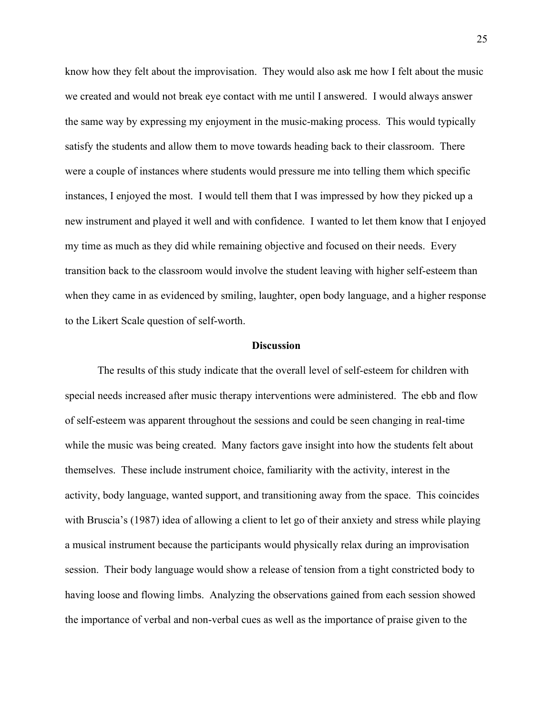know how they felt about the improvisation. They would also ask me how I felt about the music we created and would not break eye contact with me until I answered. I would always answer the same way by expressing my enjoyment in the music-making process. This would typically satisfy the students and allow them to move towards heading back to their classroom. There were a couple of instances where students would pressure me into telling them which specific instances, I enjoyed the most. I would tell them that I was impressed by how they picked up a new instrument and played it well and with confidence. I wanted to let them know that I enjoyed my time as much as they did while remaining objective and focused on their needs. Every transition back to the classroom would involve the student leaving with higher self-esteem than when they came in as evidenced by smiling, laughter, open body language, and a higher response to the Likert Scale question of self-worth.

## **Discussion**

The results of this study indicate that the overall level of self-esteem for children with special needs increased after music therapy interventions were administered. The ebb and flow of self-esteem was apparent throughout the sessions and could be seen changing in real-time while the music was being created. Many factors gave insight into how the students felt about themselves. These include instrument choice, familiarity with the activity, interest in the activity, body language, wanted support, and transitioning away from the space. This coincides with Bruscia's (1987) idea of allowing a client to let go of their anxiety and stress while playing a musical instrument because the participants would physically relax during an improvisation session. Their body language would show a release of tension from a tight constricted body to having loose and flowing limbs. Analyzing the observations gained from each session showed the importance of verbal and non-verbal cues as well as the importance of praise given to the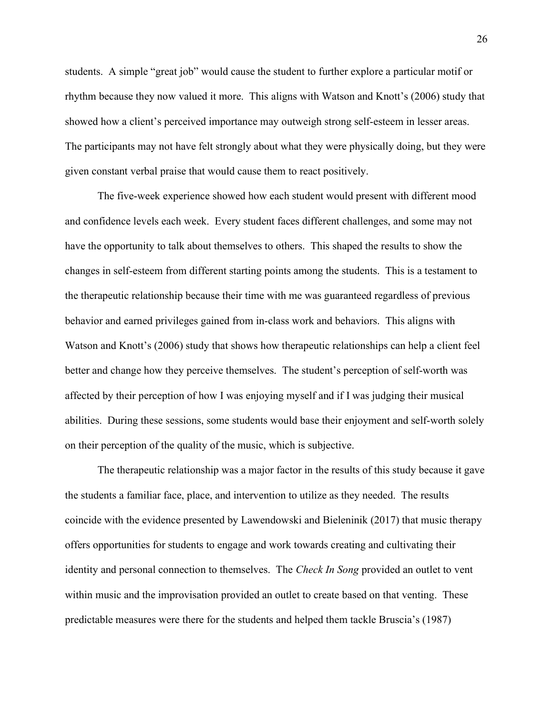students. A simple "great job" would cause the student to further explore a particular motif or rhythm because they now valued it more. This aligns with Watson and Knott's (2006) study that showed how a client's perceived importance may outweigh strong self-esteem in lesser areas. The participants may not have felt strongly about what they were physically doing, but they were given constant verbal praise that would cause them to react positively.

The five-week experience showed how each student would present with different mood and confidence levels each week. Every student faces different challenges, and some may not have the opportunity to talk about themselves to others. This shaped the results to show the changes in self-esteem from different starting points among the students. This is a testament to the therapeutic relationship because their time with me was guaranteed regardless of previous behavior and earned privileges gained from in-class work and behaviors. This aligns with Watson and Knott's (2006) study that shows how therapeutic relationships can help a client feel better and change how they perceive themselves. The student's perception of self-worth was affected by their perception of how I was enjoying myself and if I was judging their musical abilities. During these sessions, some students would base their enjoyment and self-worth solely on their perception of the quality of the music, which is subjective.

 The therapeutic relationship was a major factor in the results of this study because it gave the students a familiar face, place, and intervention to utilize as they needed. The results coincide with the evidence presented by Lawendowski and Bieleninik (2017) that music therapy offers opportunities for students to engage and work towards creating and cultivating their identity and personal connection to themselves. The *Check In Song* provided an outlet to vent within music and the improvisation provided an outlet to create based on that venting. These predictable measures were there for the students and helped them tackle Bruscia's (1987)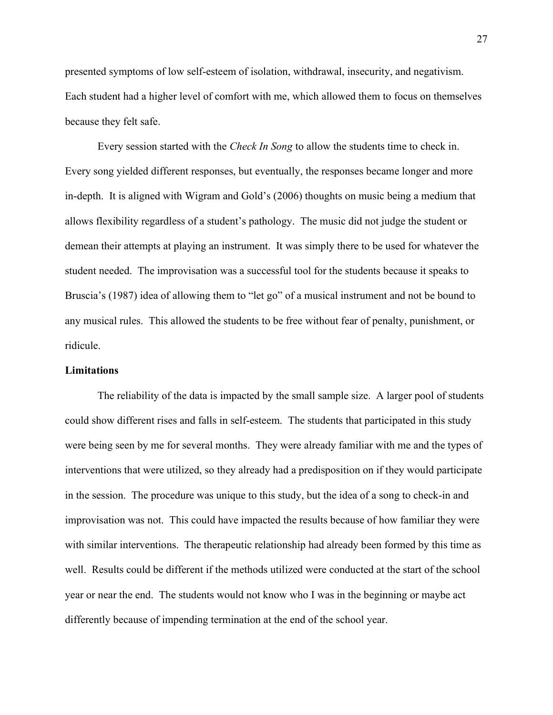presented symptoms of low self-esteem of isolation, withdrawal, insecurity, and negativism. Each student had a higher level of comfort with me, which allowed them to focus on themselves because they felt safe.

Every session started with the *Check In Song* to allow the students time to check in. Every song yielded different responses, but eventually, the responses became longer and more in-depth. It is aligned with Wigram and Gold's (2006) thoughts on music being a medium that allows flexibility regardless of a student's pathology. The music did not judge the student or demean their attempts at playing an instrument. It was simply there to be used for whatever the student needed. The improvisation was a successful tool for the students because it speaks to Bruscia's (1987) idea of allowing them to "let go" of a musical instrument and not be bound to any musical rules. This allowed the students to be free without fear of penalty, punishment, or ridicule.

## Limitations

The reliability of the data is impacted by the small sample size. A larger pool of students could show different rises and falls in self-esteem. The students that participated in this study were being seen by me for several months. They were already familiar with me and the types of interventions that were utilized, so they already had a predisposition on if they would participate in the session. The procedure was unique to this study, but the idea of a song to check-in and improvisation was not. This could have impacted the results because of how familiar they were with similar interventions. The therapeutic relationship had already been formed by this time as well. Results could be different if the methods utilized were conducted at the start of the school year or near the end. The students would not know who I was in the beginning or maybe act differently because of impending termination at the end of the school year.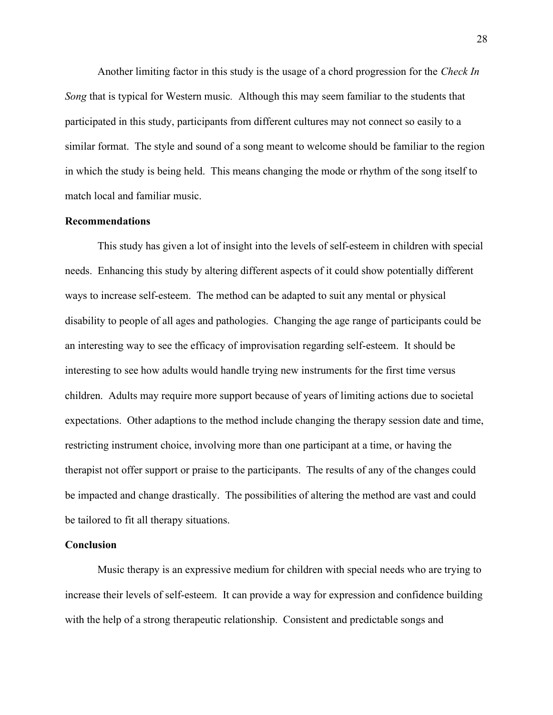Another limiting factor in this study is the usage of a chord progression for the Check In Song that is typical for Western music. Although this may seem familiar to the students that participated in this study, participants from different cultures may not connect so easily to a similar format. The style and sound of a song meant to welcome should be familiar to the region in which the study is being held. This means changing the mode or rhythm of the song itself to match local and familiar music.

## Recommendations

This study has given a lot of insight into the levels of self-esteem in children with special needs. Enhancing this study by altering different aspects of it could show potentially different ways to increase self-esteem. The method can be adapted to suit any mental or physical disability to people of all ages and pathologies. Changing the age range of participants could be an interesting way to see the efficacy of improvisation regarding self-esteem. It should be interesting to see how adults would handle trying new instruments for the first time versus children. Adults may require more support because of years of limiting actions due to societal expectations. Other adaptions to the method include changing the therapy session date and time, restricting instrument choice, involving more than one participant at a time, or having the therapist not offer support or praise to the participants. The results of any of the changes could be impacted and change drastically. The possibilities of altering the method are vast and could be tailored to fit all therapy situations.

## Conclusion

Music therapy is an expressive medium for children with special needs who are trying to increase their levels of self-esteem. It can provide a way for expression and confidence building with the help of a strong therapeutic relationship. Consistent and predictable songs and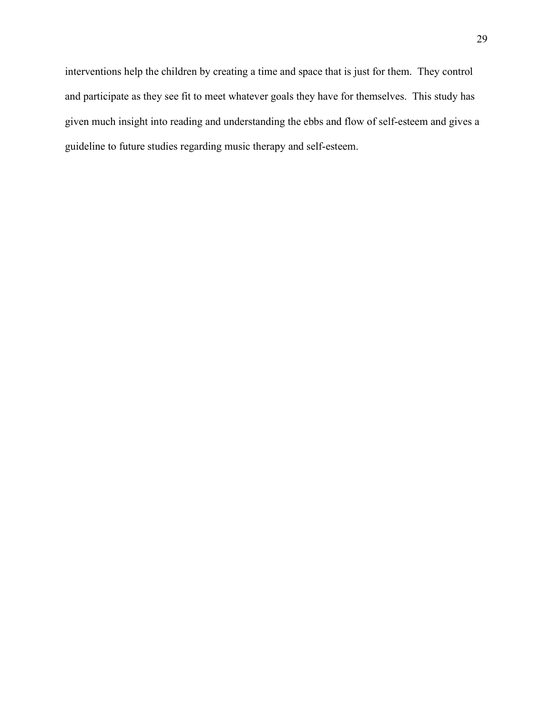interventions help the children by creating a time and space that is just for them. They control and participate as they see fit to meet whatever goals they have for themselves. This study has given much insight into reading and understanding the ebbs and flow of self-esteem and gives a guideline to future studies regarding music therapy and self-esteem.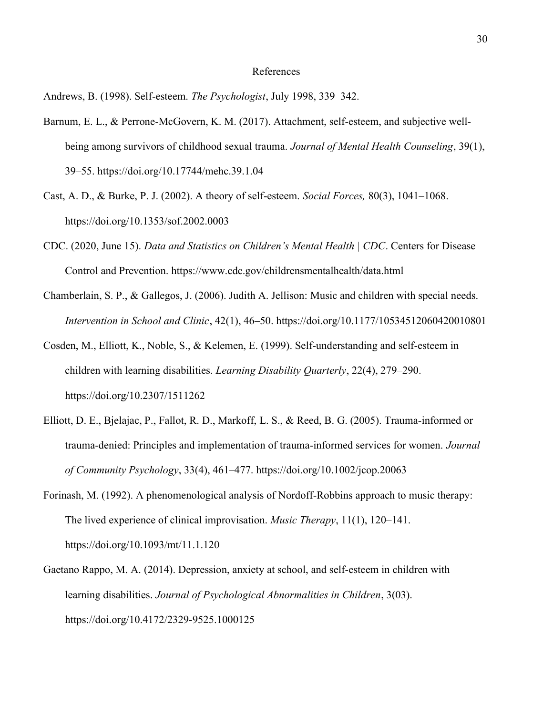## References

Andrews, B. (1998). Self-esteem. The Psychologist, July 1998, 339–342.

- Barnum, E. L., & Perrone-McGovern, K. M. (2017). Attachment, self-esteem, and subjective wellbeing among survivors of childhood sexual trauma. Journal of Mental Health Counseling, 39(1), 39–55. https://doi.org/10.17744/mehc.39.1.04
- Cast, A. D., & Burke, P. J. (2002). A theory of self-esteem. Social Forces, 80(3), 1041–1068. https://doi.org/10.1353/sof.2002.0003
- CDC. (2020, June 15). Data and Statistics on Children's Mental Health | CDC. Centers for Disease Control and Prevention. https://www.cdc.gov/childrensmentalhealth/data.html
- Chamberlain, S. P., & Gallegos, J. (2006). Judith A. Jellison: Music and children with special needs. Intervention in School and Clinic, 42(1), 46–50. https://doi.org/10.1177/10534512060420010801
- Cosden, M., Elliott, K., Noble, S., & Kelemen, E. (1999). Self-understanding and self-esteem in children with learning disabilities. Learning Disability Quarterly, 22(4), 279–290. https://doi.org/10.2307/1511262
- Elliott, D. E., Bjelajac, P., Fallot, R. D., Markoff, L. S., & Reed, B. G. (2005). Trauma-informed or trauma-denied: Principles and implementation of trauma-informed services for women. Journal of Community Psychology, 33(4), 461–477. https://doi.org/10.1002/jcop.20063
- Forinash, M. (1992). A phenomenological analysis of Nordoff-Robbins approach to music therapy: The lived experience of clinical improvisation. Music Therapy, 11(1), 120–141. https://doi.org/10.1093/mt/11.1.120
- Gaetano Rappo, M. A. (2014). Depression, anxiety at school, and self-esteem in children with learning disabilities. Journal of Psychological Abnormalities in Children, 3(03). https://doi.org/10.4172/2329-9525.1000125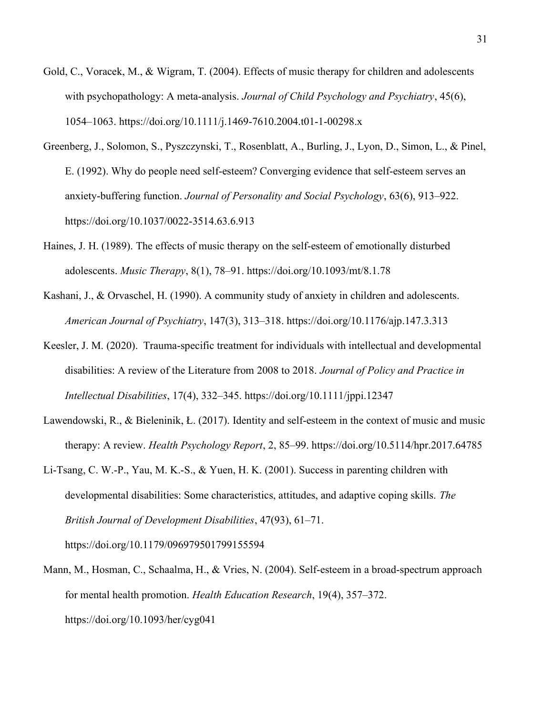- Gold, C., Voracek, M., & Wigram, T. (2004). Effects of music therapy for children and adolescents with psychopathology: A meta-analysis. *Journal of Child Psychology and Psychiatry*, 45(6), 1054–1063. https://doi.org/10.1111/j.1469-7610.2004.t01-1-00298.x
- Greenberg, J., Solomon, S., Pyszczynski, T., Rosenblatt, A., Burling, J., Lyon, D., Simon, L., & Pinel, E. (1992). Why do people need self-esteem? Converging evidence that self-esteem serves an anxiety-buffering function. Journal of Personality and Social Psychology, 63(6), 913–922. https://doi.org/10.1037/0022-3514.63.6.913
- Haines, J. H. (1989). The effects of music therapy on the self-esteem of emotionally disturbed adolescents. Music Therapy, 8(1), 78–91. https://doi.org/10.1093/mt/8.1.78
- Kashani, J., & Orvaschel, H. (1990). A community study of anxiety in children and adolescents. American Journal of Psychiatry, 147(3), 313–318. https://doi.org/10.1176/ajp.147.3.313
- Keesler, J. M. (2020). Trauma-specific treatment for individuals with intellectual and developmental disabilities: A review of the Literature from 2008 to 2018. Journal of Policy and Practice in Intellectual Disabilities, 17(4), 332–345. https://doi.org/10.1111/jppi.12347
- Lawendowski, R., & Bieleninik, Ł. (2017). Identity and self-esteem in the context of music and music therapy: A review. *Health Psychology Report*, 2, 85–99. https://doi.org/10.5114/hpr.2017.64785
- Li-Tsang, C. W.-P., Yau, M. K.-S., & Yuen, H. K. (2001). Success in parenting children with developmental disabilities: Some characteristics, attitudes, and adaptive coping skills. The British Journal of Development Disabilities, 47(93), 61–71. https://doi.org/10.1179/096979501799155594
- Mann, M., Hosman, C., Schaalma, H., & Vries, N. (2004). Self-esteem in a broad-spectrum approach for mental health promotion. Health Education Research, 19(4), 357–372. https://doi.org/10.1093/her/cyg041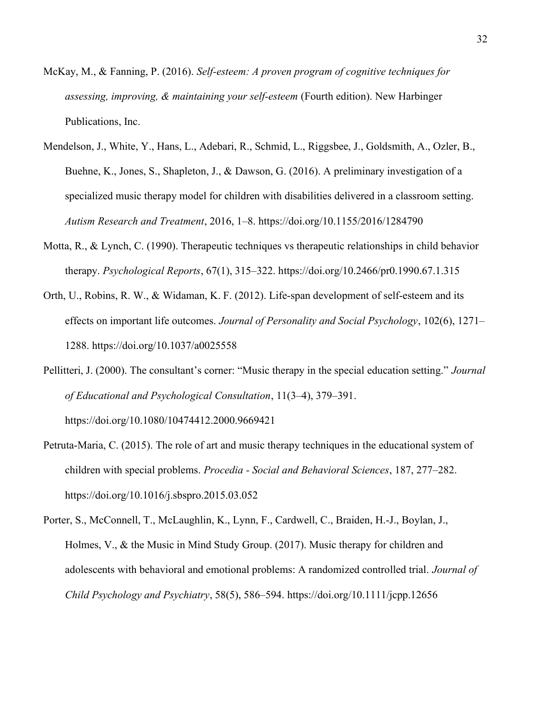- McKay, M., & Fanning, P. (2016). Self-esteem: A proven program of cognitive techniques for assessing, improving, & maintaining your self-esteem (Fourth edition). New Harbinger Publications, Inc.
- Mendelson, J., White, Y., Hans, L., Adebari, R., Schmid, L., Riggsbee, J., Goldsmith, A., Ozler, B., Buehne, K., Jones, S., Shapleton, J., & Dawson, G. (2016). A preliminary investigation of a specialized music therapy model for children with disabilities delivered in a classroom setting. Autism Research and Treatment, 2016, 1–8. https://doi.org/10.1155/2016/1284790
- Motta, R., & Lynch, C. (1990). Therapeutic techniques vs therapeutic relationships in child behavior therapy. Psychological Reports, 67(1), 315–322. https://doi.org/10.2466/pr0.1990.67.1.315
- Orth, U., Robins, R. W., & Widaman, K. F. (2012). Life-span development of self-esteem and its effects on important life outcomes. Journal of Personality and Social Psychology, 102(6), 1271– 1288. https://doi.org/10.1037/a0025558
- Pellitteri, J. (2000). The consultant's corner: "Music therapy in the special education setting." Journal of Educational and Psychological Consultation, 11(3–4), 379–391. https://doi.org/10.1080/10474412.2000.9669421
- Petruta-Maria, C. (2015). The role of art and music therapy techniques in the educational system of children with special problems. Procedia - Social and Behavioral Sciences, 187, 277–282. https://doi.org/10.1016/j.sbspro.2015.03.052
- Porter, S., McConnell, T., McLaughlin, K., Lynn, F., Cardwell, C., Braiden, H.-J., Boylan, J., Holmes, V., & the Music in Mind Study Group. (2017). Music therapy for children and adolescents with behavioral and emotional problems: A randomized controlled trial. Journal of Child Psychology and Psychiatry, 58(5), 586–594. https://doi.org/10.1111/jcpp.12656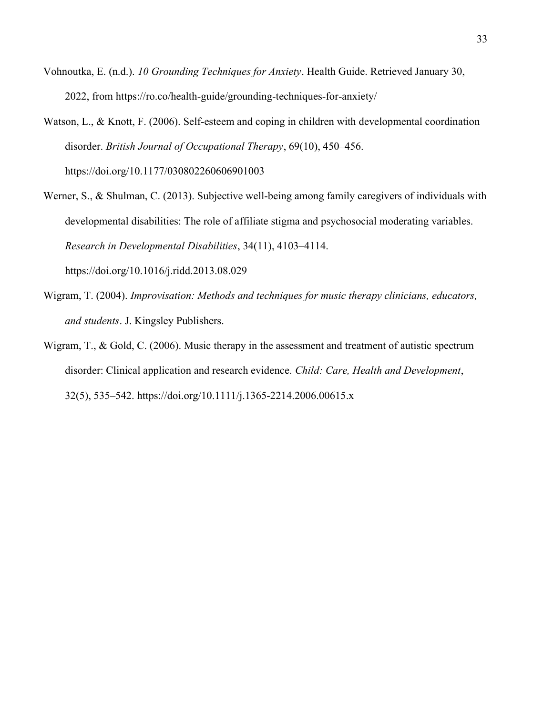- Vohnoutka, E. (n.d.). 10 Grounding Techniques for Anxiety. Health Guide. Retrieved January 30, 2022, from https://ro.co/health-guide/grounding-techniques-for-anxiety/
- Watson, L., & Knott, F. (2006). Self-esteem and coping in children with developmental coordination disorder. British Journal of Occupational Therapy, 69(10), 450–456. https://doi.org/10.1177/030802260606901003
- Werner, S., & Shulman, C. (2013). Subjective well-being among family caregivers of individuals with developmental disabilities: The role of affiliate stigma and psychosocial moderating variables. Research in Developmental Disabilities, 34(11), 4103–4114. https://doi.org/10.1016/j.ridd.2013.08.029
- Wigram, T. (2004). Improvisation: Methods and techniques for music therapy clinicians, educators, and students. J. Kingsley Publishers.
- Wigram, T., & Gold, C. (2006). Music therapy in the assessment and treatment of autistic spectrum disorder: Clinical application and research evidence. Child: Care, Health and Development, 32(5), 535–542. https://doi.org/10.1111/j.1365-2214.2006.00615.x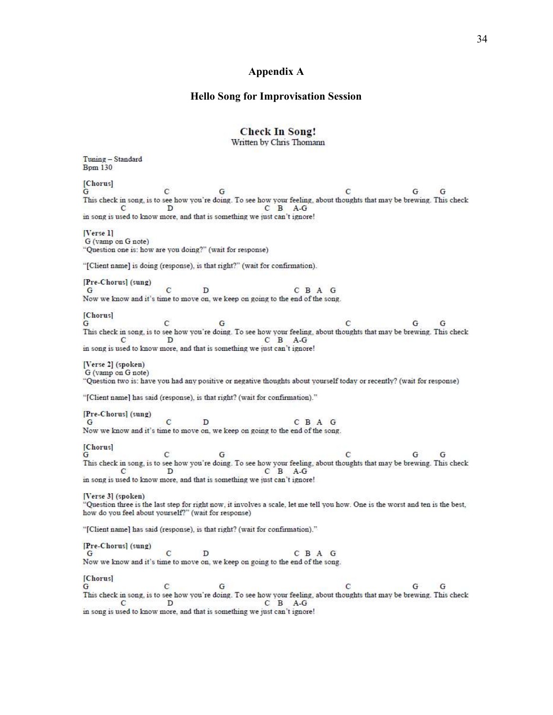#### Hello Song for Improvisation Session

## **Check In Song!**

Written by Chris Thomann

Tuning - Standard **Bpm 130** [Chorus]  $\mathbf{C}$  $G$ G  $\mathbf C$ G  $G$ This check in song, is to see how you're doing. To see how your feeling, about thoughts that may be brewing. This check  $C$   $B$   $A-G$  $\mathcal{C}$ D in song is used to know more, and that is something we just can't ignore! [Verse 1] G (vamp on G note) "Question one is: how are you doing?" (wait for response) "[Client name] is doing (response), is that right?" (wait for confirmation). [Pre-Chorus] (sung)  $\overline{c}$ D C B A G G Now we know and it's time to move on, we keep on going to the end of the song. [Chorus]  $\mathbf{c}$  $\mathbf{C}$ G G G G This check in song, is to see how you're doing. To see how your feeling, about thoughts that may be brewing. This check  $C$   $B$   $A-G$  $\mathbf{C}$ D in song is used to know more, and that is something we just can't ignore! [Verse 2] (spoken) G (vamp on G note) "Question two is: have you had any positive or negative thoughts about yourself today or recently? (wait for response) "[Client name] has said (response), is that right? (wait for confirmation)." [Pre-Chorus] (sung)  $\ddot{c}$ D C B A G G Now we know and it's time to move on, we keep on going to the end of the song. [Chorus]  $\mathbf{C}$  $\mathbf C$ G G G G This check in song, is to see how you're doing. To see how your feeling, about thoughts that may be brewing. This check  $\overline{C}$   $\overline{D}$   $\overline{A}\cdot\overline{G}$ in song is used to know more, and that is something we just can't ignore! [Verse 3] (spoken) "Question three is the last step for right now, it involves a scale, let me tell you how. One is the worst and ten is the best, how do you feel about yourself?" (wait for response) "[Client name] has said (response), is that right? (wait for confirmation)." [Pre-Chorus] (sung)  $\mathbf C$  $\mathbf{D}$ C B A G G Now we know and it's time to move on, we keep on going to the end of the song. [Chorus]  $\mathbf C$ G  $\mathbf C$ G  $G$  $\mathbf{G}$ This check in song, is to see how you're doing. To see how your feeling, about thoughts that may be brewing. This check D C B A-G  $\mathbf{C}$ in song is used to know more, and that is something we just can't ignore!